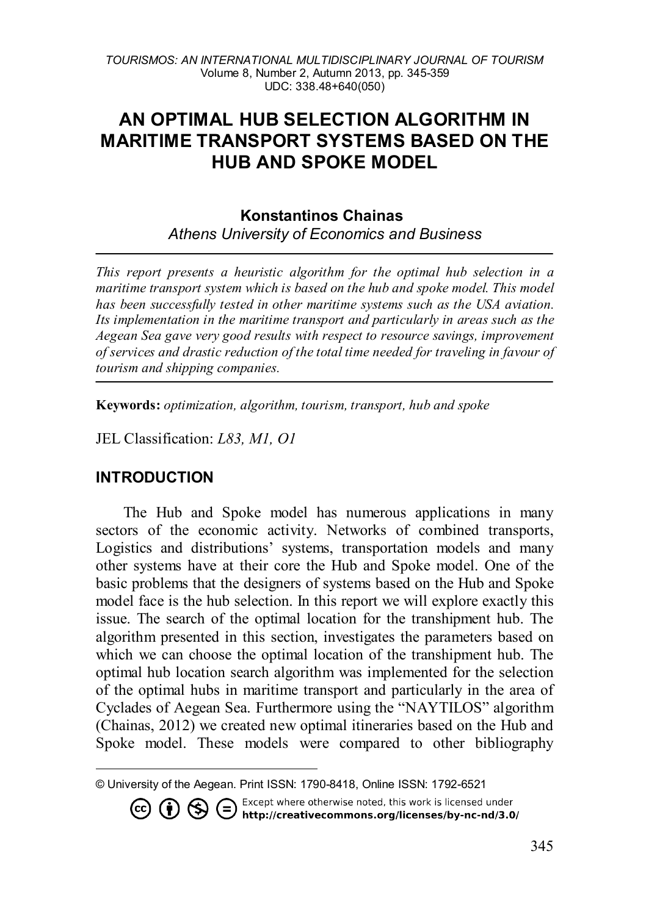# **AN OPTIMAL HUB SELECTION ALGORITHM IN MARITIME TRANSPORT SYSTEMS BASED ON THE HUB AND SPOKE MODEL**

### **Konstantinos Chainas** *Athens University of Economics and Business*

*This report presents a heuristic algorithm for the optimal hub selection in a maritime transport system which is based on the hub and spoke model. This model has been successfully tested in other maritime systems such as the USA aviation. Its implementation in the maritime transport and particularly in areas such as the Aegean Sea gave very good results with respect to resource savings, improvement of services and drastic reduction of the total time needed for traveling in favour of tourism and shipping companies.*

**Keywords:** *optimization, algorithm, tourism, transport, hub and spoke*

JEL Classification: *L83, M1, O1*

### **INTRODUCTION**

The Hub and Spoke model has numerous applications in many sectors of the economic activity. Networks of combined transports, Logistics and distributions' systems, transportation models and many other systems have at their core the Hub and Spoke model. One of the basic problems that the designers of systems based on the Hub and Spoke model face is the hub selection. In this report we will explore exactly this issue. The search of the optimal location for the transhipment hub. The algorithm presented in this section, investigates the parameters based on which we can choose the optimal location of the transhipment hub. The optimal hub location search algorithm was implemented for the selection of the optimal hubs in maritime transport and particularly in the area of Cyclades of Aegean Sea. Furthermore using the "NAYTILOS" algorithm (Chainas, 2012) we created new optimal itineraries based on the Hub and Spoke model. These models were compared to other bibliography

Except where otherwise noted, this work is licensed under  $(=\)$ <≤ O  $\cal J$  http://creativecommons.org/licenses/by-nc-nd/3.0/

<span id="page-0-0"></span>l © University of the Aegean. Print ISSN: 1790-8418, Online ISSN: 1792-6521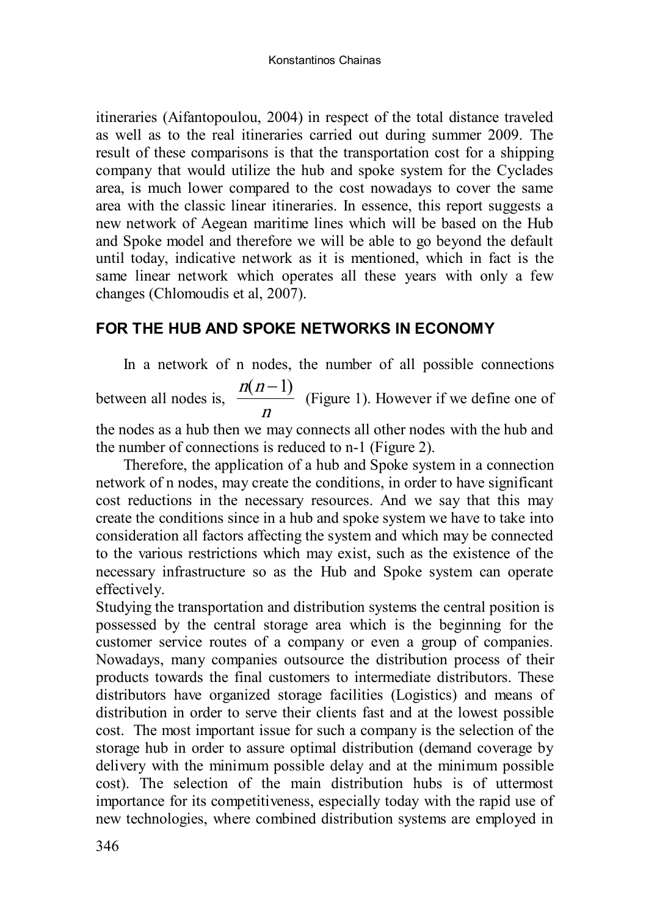itineraries (Aifantopoulou, 2004) in respect of the total distance traveled as well as to the real itineraries carried out during summer 2009. The result of these comparisons is that the transportation cost for a shipping company that would utilize the hub and spoke system for the Cyclades area, is much lower compared to the cost nowadays to cover the same area with the classic linear itineraries. In essence, this report suggests a new network of Aegean maritime lines which will be based on the Hub and Spoke model and therefore we will be able to go beyond the default until today, indicative network as it is mentioned, which in fact is the same linear network which operates all these years with only a few changes (Chlomoudis et al, 2007).

### **FOR THE HUB AND SPOKE NETWORKS IN ECONOMY**

In a network of n nodes, the number of all possible connections between all nodes is,  $\frac{1}{\Box}$  $\frac{n(n-1)}{n}$  (Figure 1). However if we define one of

the nodes as a hub then we may connects all other nodes with the hub and the number of connections is reduced to n-1 (Figure 2).

Therefore, the application of a hub and Spoke system in a connection network of n nodes, may create the conditions, in order to have significant cost reductions in the necessary resources. And we say that this may create the conditions since in a hub and spoke system we have to take into consideration all factors affecting the system and which may be connected to the various restrictions which may exist, such as the existence of the necessary infrastructure so as the Hub and Spoke system can operate effectively.

Studying the transportation and distribution systems the central position is possessed by the central storage area which is the beginning for the customer service routes of a company or even a group of companies. Nowadays, many companies outsource the distribution process of their products towards the final customers to intermediate distributors. These distributors have organized storage facilities (Logistics) and means of distribution in order to serve their clients fast and at the lowest possible cost. The most important issue for such a company is the selection of the storage hub in order to assure optimal distribution (demand coverage by delivery with the minimum possible delay and at the minimum possible cost). The selection of the main distribution hubs is of uttermost importance for its competitiveness, especially today with the rapid use of new technologies, where combined distribution systems are employed in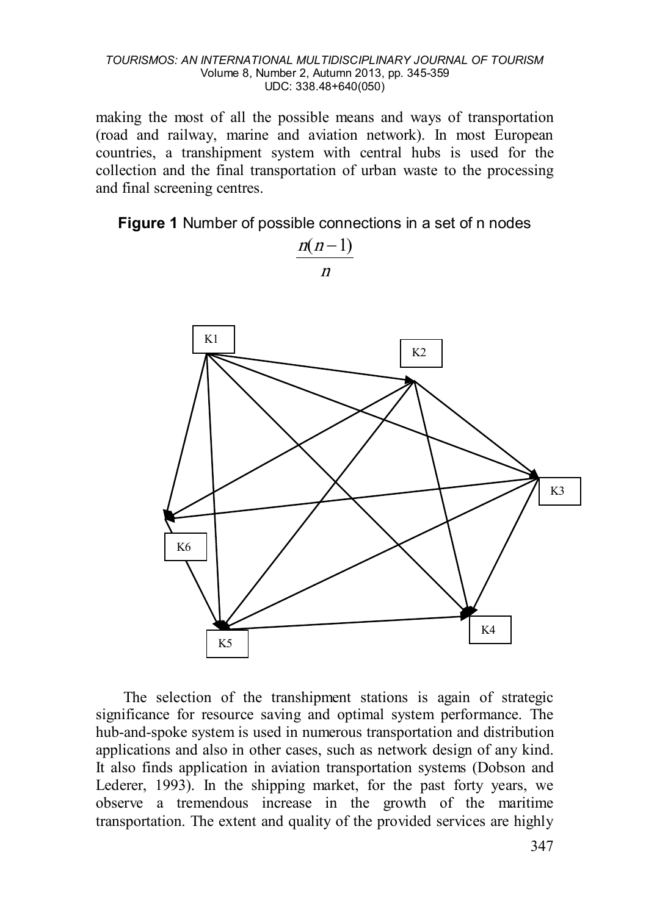making the most of all the possible means and ways of transportation (road and railway, marine and aviation network). In most European countries, a transhipment system with central hubs is used for the collection and the final transportation of urban waste to the processing and final screening centres.

**Figure 1** Number of possible connections in a set of n nodes



The selection of the transhipment stations is again of strategic significance for resource saving and optimal system performance. The hub-and-spoke system is used in numerous transportation and distribution applications and also in other cases, such as network design of any kind. It also finds application in aviation transportation systems (Dobson and Lederer, 1993). In the shipping market, for the past forty years, we observe a tremendous increase in the growth of the maritime transportation. The extent and quality of the provided services are highly

n  $n(n-1)$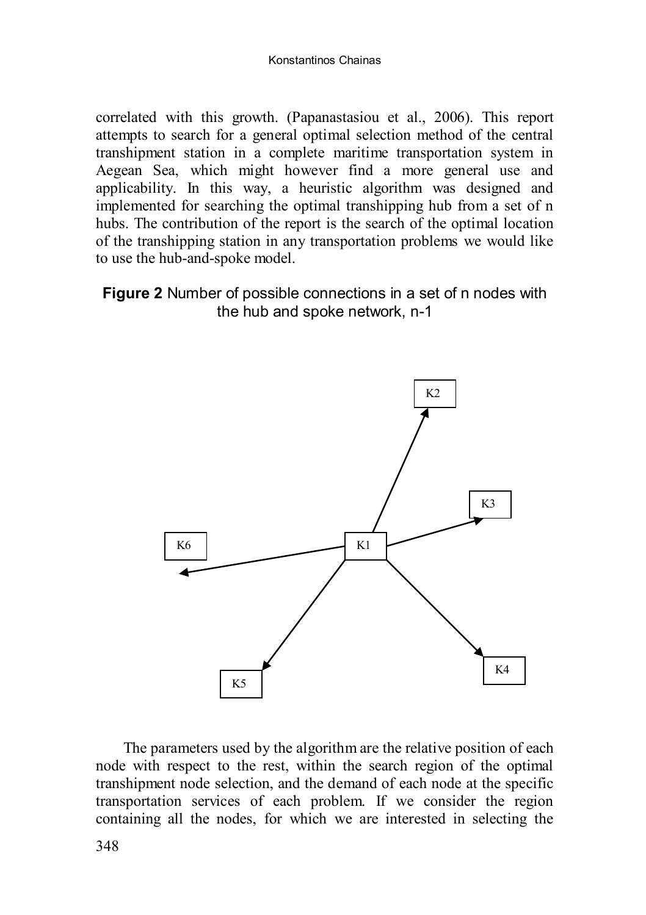correlated with this growth. (Papanastasiou et al., 2006). This report attempts to search for a general optimal selection method of the central transhipment station in a complete maritime transportation system in Aegean Sea, which might however find a more general use and applicability. In this way, a heuristic algorithm was designed and implemented for searching the optimal transhipping hub from a set of n hubs. The contribution of the report is the search of the optimal location of the transhipping station in any transportation problems we would like to use the hub-and-spoke model.

### **Figure 2** Number of possible connections in a set of n nodes with the hub and spoke network, n-1



The parameters used by the algorithm are the relative position of each node with respect to the rest, within the search region of the optimal transhipment node selection, and the demand of each node at the specific transportation services of each problem. If we consider the region containing all the nodes, for which we are interested in selecting the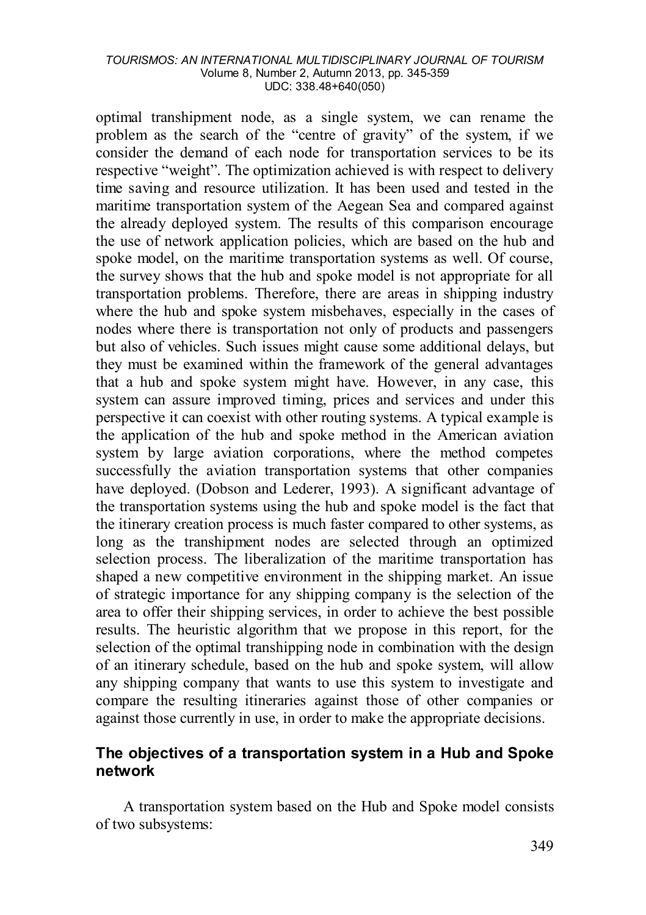optimal transhipment node, as a single system, we can rename the problem as the search of the "centre of gravity" of the system, if we consider the demand of each node for transportation services to be its respective "weight". The optimization achieved is with respect to delivery time saving and resource utilization. It has been used and tested in the maritime transportation system of the Aegean Sea and compared against the already deployed system. The results of this comparison encourage the use of network application policies, which are based on the hub and spoke model, on the maritime transportation systems as well. Of course, the survey shows that the hub and spoke model is not appropriate for all transportation problems. Therefore, there are areas in shipping industry where the hub and spoke system misbehaves, especially in the cases of nodes where there is transportation not only of products and passengers but also of vehicles. Such issues might cause some additional delays, but they must be examined within the framework of the general advantages that a hub and spoke system might have. However, in any case, this system can assure improved timing, prices and services and under this perspective it can coexist with other routing systems. A typical example is the application of the hub and spoke method in the American aviation system by large aviation corporations, where the method competes successfully the aviation transportation systems that other companies have deployed. (Dobson and Lederer, 1993). A significant advantage of the transportation systems using the hub and spoke model is the fact that the itinerary creation process is much faster compared to other systems, as long as the transhipment nodes are selected through an optimized selection process. The liberalization of the maritime transportation has shaped a new competitive environment in the shipping market. An issue of strategic importance for any shipping company is the selection of the area to offer their shipping services, in order to achieve the best possible results. The heuristic algorithm that we propose in this report, for the selection of the optimal transhipping node in combination with the design of an itinerary schedule, based on the hub and spoke system, will allow any shipping company that wants to use this system to investigate and compare the resulting itineraries against those of other companies or against those currently in use, in order to make the appropriate decisions.

### **The objectives of a transportation system in a Hub and Spoke network**

A transportation system based on the Hub and Spoke model consists of two subsystems: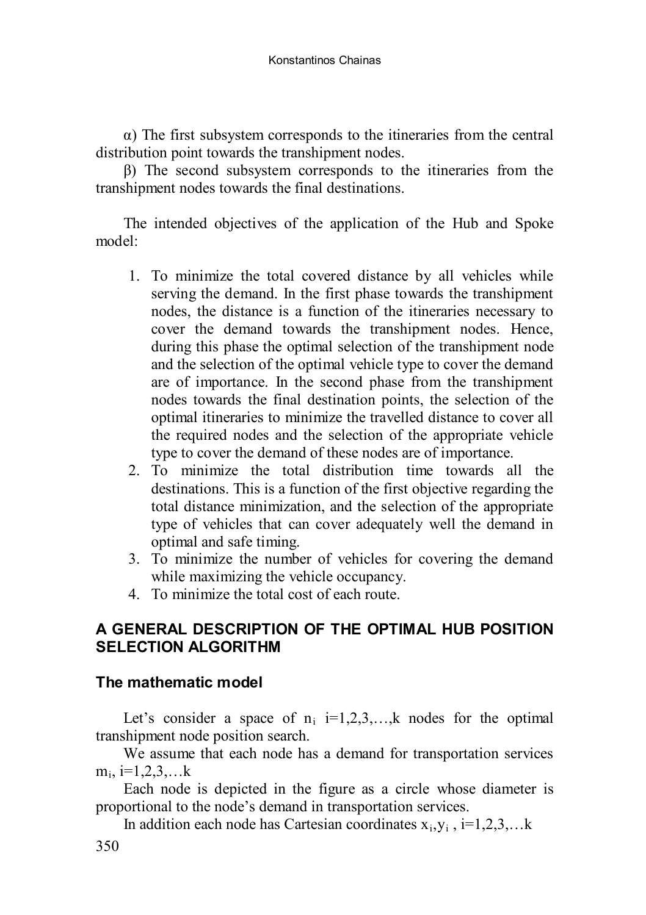Konstantinos Chainas

α) The first subsystem corresponds to the itineraries from the central distribution point towards the transhipment nodes.

β) The second subsystem corresponds to the itineraries from the transhipment nodes towards the final destinations.

The intended objectives of the application of the Hub and Spoke model:

- 1. To minimize the total covered distance by all vehicles while serving the demand. In the first phase towards the transhipment nodes, the distance is a function of the itineraries necessary to cover the demand towards the transhipment nodes. Hence, during this phase the optimal selection of the transhipment node and the selection of the optimal vehicle type to cover the demand are of importance. In the second phase from the transhipment nodes towards the final destination points, the selection of the optimal itineraries to minimize the travelled distance to cover all the required nodes and the selection of the appropriate vehicle type to cover the demand of these nodes are of importance.
- 2. To minimize the total distribution time towards all the destinations. This is a function of the first objective regarding the total distance minimization, and the selection of the appropriate type of vehicles that can cover adequately well the demand in optimal and safe timing.
- 3. To minimize the number of vehicles for covering the demand while maximizing the vehicle occupancy.
- 4. To minimize the total cost of each route.

### **A GENERAL DESCRIPTION OF THE OPTIMAL HUB POSITION SELECTION ALGORITHM**

### **The mathematic model**

Let's consider a space of  $n_i$  i=1,2,3, k nodes for the optimal transhipment node position search.

We assume that each node has a demand for transportation services  $m_i$ , i=1,2,3,...k

Each node is depicted in the figure as a circle whose diameter is proportional to the node's demand in transportation services.

In addition each node has Cartesian coordinates  $x_i, y_i$ ,  $i=1,2,3,...k$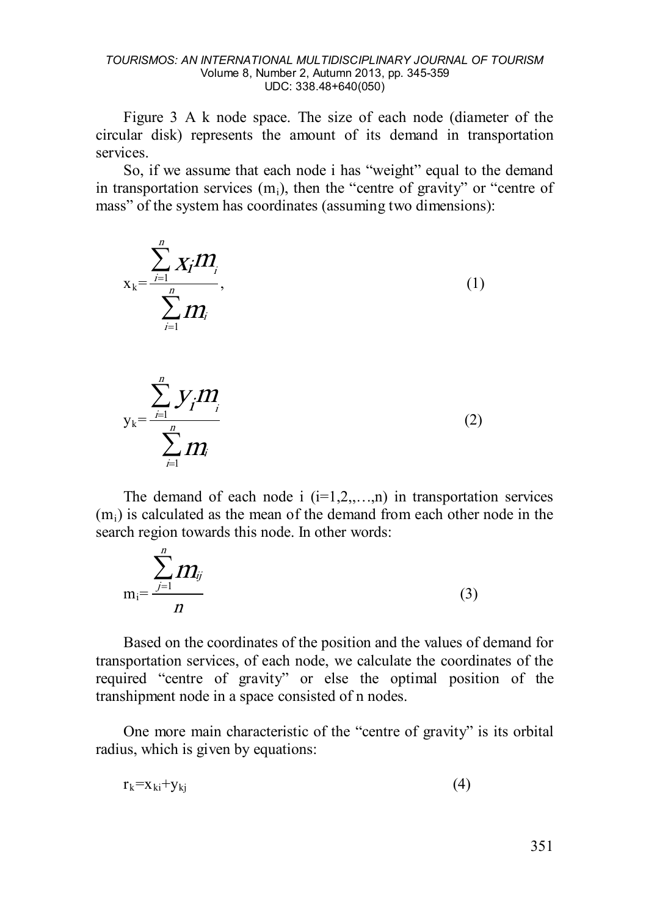Figure 3 A k node space. The size of each node (diameter of the circular disk) represents the amount of its demand in transportation services.

So, if we assume that each node i has "weight" equal to the demand in transportation services  $(m_i)$ , then the "centre of gravity" or "centre of mass" of the system has coordinates (assuming two dimensions):

$$
x_{k} = \frac{\sum_{j=1}^{n} X_{j} m_{j}}{\sum_{i=1}^{n} m_{i}},
$$
\n(1)

$$
y_{k} = \frac{\sum_{j=1}^{n} y_{j} m_{j}}{\sum_{j=1}^{n} m_{j}}
$$
 (2)

The demand of each node i  $(i=1,2,...,n)$  in transportation services (mi) is calculated as the mean of the demand from each other node in the search region towards this node. In other words:

$$
m_i = \frac{\sum_{j=1}^n m_{ij}}{n}
$$
 (3)

Based on the coordinates of the position and the values of demand for transportation services, of each node, we calculate the coordinates of the required "centre of gravity" or else the optimal position of the transhipment node in a space consisted of n nodes.

One more main characteristic of the "centre of gravity" is its orbital radius, which is given by equations:

$$
r_k = x_{ki} + y_{kj} \tag{4}
$$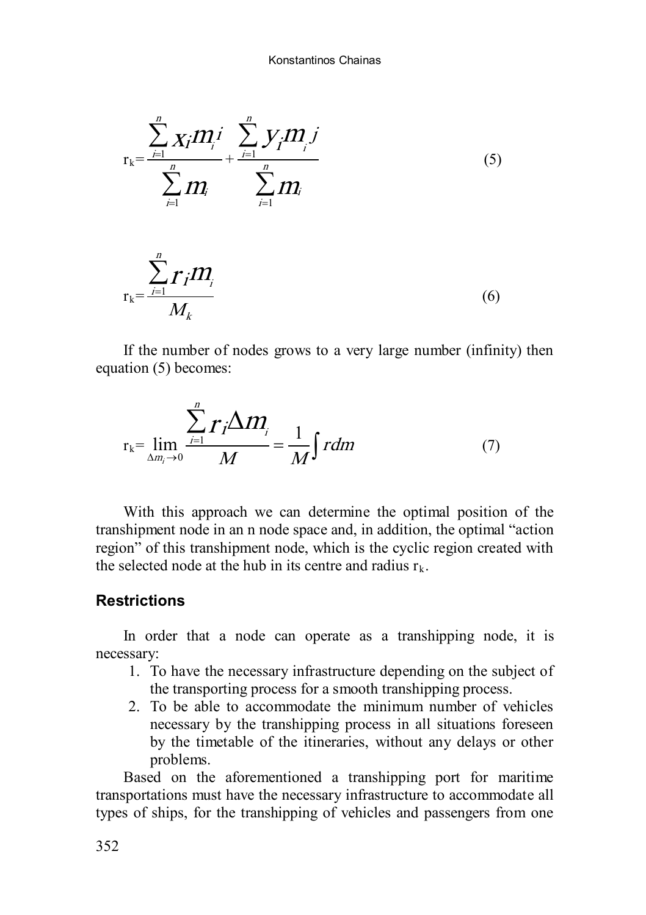

$$
r_{k} = \frac{\sum_{j=1}^{n} r_{j} m_{j}}{M_{k}}
$$
 (6)

If the number of nodes grows to a very large number (infinity) then equation (5) becomes:

$$
r_{k} = \lim_{\Delta m_{i} \to 0} \frac{\sum_{i=1}^{n} r_{i} \Delta m_{i}}{M} = \frac{1}{M} \int r dm
$$
 (7)

With this approach we can determine the optimal position of the transhipment node in an n node space and, in addition, the optimal "action region" of this transhipment node, which is the cyclic region created with the selected node at the hub in its centre and radius  $r_k$ .

### **Restrictions**

In order that a node can operate as a transhipping node, it is necessary:

- 1. To have the necessary infrastructure depending on the subject of the transporting process for a smooth transhipping process.
- 2. To be able to accommodate the minimum number of vehicles necessary by the transhipping process in all situations foreseen by the timetable of the itineraries, without any delays or other problems.

Based on the aforementioned a transhipping port for maritime transportations must have the necessary infrastructure to accommodate all types of ships, for the transhipping of vehicles and passengers from one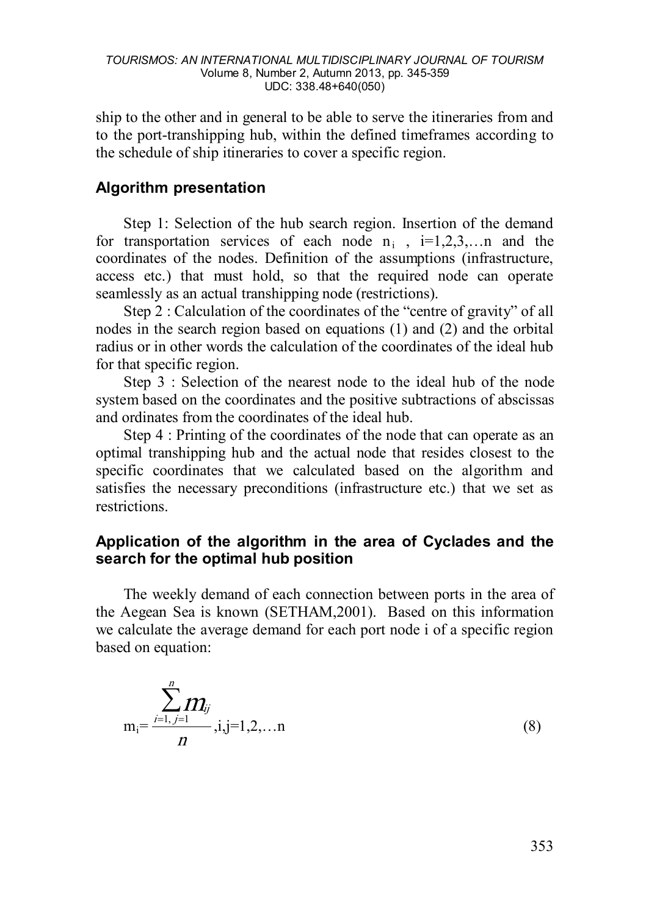ship to the other and in general to be able to serve the itineraries from and to the port-transhipping hub, within the defined timeframes according to the schedule of ship itineraries to cover a specific region.

# **Algorithm presentation**

Step 1: Selection of the hub search region. Insertion of the demand for transportation services of each node  $n_i$ ,  $i=1,2,3,...$  and the coordinates of the nodes. Definition of the assumptions (infrastructure, access etc.) that must hold, so that the required node can operate seamlessly as an actual transhipping node (restrictions).

Step 2 : Calculation of the coordinates of the "centre of gravity" of all nodes in the search region based on equations (1) and (2) and the orbital radius or in other words the calculation of the coordinates of the ideal hub for that specific region.

Step 3 : Selection of the nearest node to the ideal hub of the node system based on the coordinates and the positive subtractions of abscissas and ordinates from the coordinates of the ideal hub.

Step 4 : Printing of the coordinates of the node that can operate as an optimal transhipping hub and the actual node that resides closest to the specific coordinates that we calculated based on the algorithm and satisfies the necessary preconditions (infrastructure etc.) that we set as restrictions.

### **Application of the algorithm in the area of Cyclades and the search for the optimal hub position**

The weekly demand of each connection between ports in the area of the Aegean Sea is known (SETHAM,2001). Based on this information we calculate the average demand for each port node i of a specific region based on equation:

$$
m_{i} = \frac{\sum_{j=1, j=1}^{n} m_{ij}}{n}, i, j=1, 2, \dots n
$$
 (8)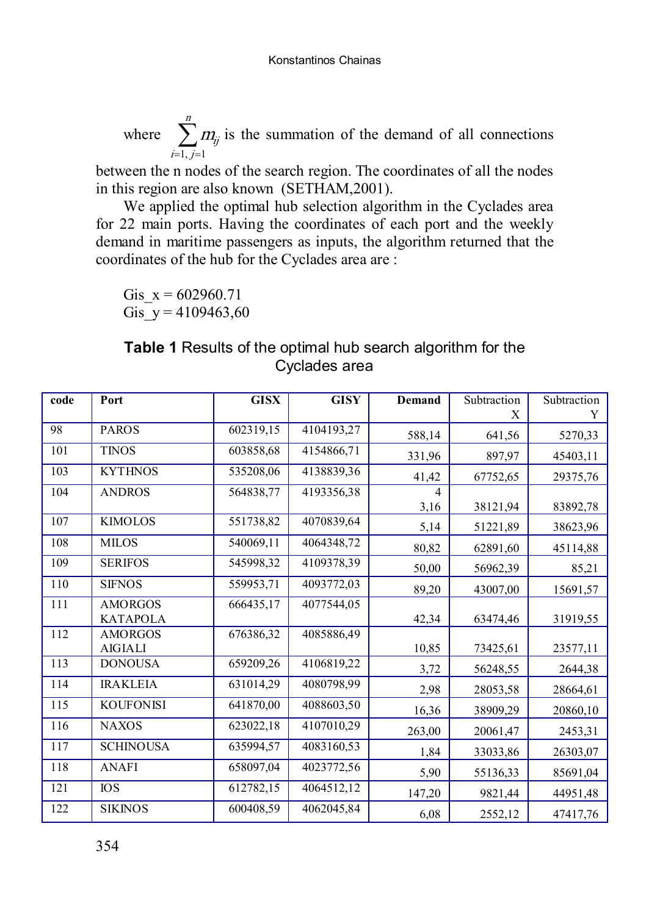where  $\sum_{i=1, j=1}^{n}$  $i=1, j$  $m_{\!ij}^{}$  $1, j=1$ is the summation of the demand of all connections

between the n nodes of the search region. The coordinates of all the nodes in this region are also known (SETHAM,2001).

We applied the optimal hub selection algorithm in the Cyclades area for 22 main ports. Having the coordinates of each port and the weekly demand in maritime passengers as inputs, the algorithm returned that the coordinates of the hub for the Cyclades area are :

Gis  $x = 602960.71$ Gis  $y = 4109463,60$ 

# **Table 1** Results of the optimal hub search algorithm for the Cyclades area

| code | Port             | <b>GISX</b> | <b>GISY</b> | <b>Demand</b> | Subtraction | Subtraction |
|------|------------------|-------------|-------------|---------------|-------------|-------------|
|      |                  |             |             |               | X           | Y           |
| 98   | <b>PAROS</b>     | 602319,15   | 4104193,27  | 588,14        | 641,56      | 5270,33     |
| 101  | <b>TINOS</b>     | 603858,68   | 4154866,71  | 331,96        | 897,97      | 45403,11    |
| 103  | <b>KYTHNOS</b>   | 535208,06   | 4138839,36  | 41,42         | 67752,65    | 29375,76    |
| 104  | <b>ANDROS</b>    | 564838,77   | 4193356.38  | 4             |             |             |
|      |                  |             |             | 3,16          | 38121,94    | 83892,78    |
| 107  | <b>KIMOLOS</b>   | 551738,82   | 4070839,64  | 5,14          | 51221,89    | 38623,96    |
| 108  | <b>MILOS</b>     | 540069,11   | 4064348,72  | 80,82         | 62891,60    | 45114,88    |
| 109  | <b>SERIFOS</b>   | 545998,32   | 4109378,39  | 50,00         | 56962,39    | 85,21       |
| 110  | <b>SIFNOS</b>    | 559953,71   | 4093772,03  | 89,20         | 43007,00    | 15691,57    |
| 111  | <b>AMORGOS</b>   | 666435,17   | 4077544,05  |               |             |             |
|      | <b>KATAPOLA</b>  |             |             | 42,34         | 63474,46    | 31919,55    |
| 112  | <b>AMORGOS</b>   | 676386,32   | 4085886,49  |               |             |             |
|      | <b>AIGIALI</b>   |             |             | 10,85         | 73425,61    | 23577,11    |
| 113  | <b>DONOUSA</b>   | 659209,26   | 4106819,22  | 3,72          | 56248,55    | 2644,38     |
| 114  | <b>IRAKLEIA</b>  | 631014,29   | 4080798.99  | 2,98          | 28053,58    | 28664,61    |
| 115  | <b>KOUFONISI</b> | 641870,00   | 4088603,50  | 16,36         | 38909,29    | 20860,10    |
| 116  | <b>NAXOS</b>     | 623022,18   | 4107010,29  | 263,00        | 20061,47    | 2453,31     |
| 117  | <b>SCHINOUSA</b> | 635994,57   | 4083160,53  | 1,84          | 33033,86    | 26303,07    |
| 118  | <b>ANAFI</b>     | 658097,04   | 4023772,56  | 5,90          | 55136,33    | 85691,04    |
| 121  | <b>IOS</b>       | 612782,15   | 4064512,12  | 147,20        | 9821,44     | 44951,48    |
| 122  | <b>SIKINOS</b>   | 600408,59   | 4062045,84  | 6,08          | 2552,12     | 47417,76    |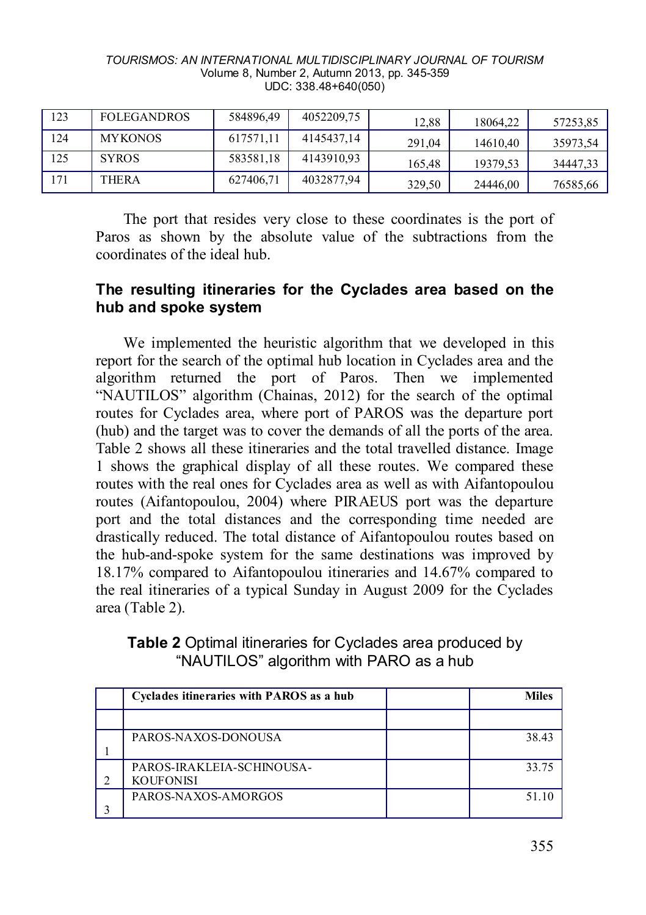| TOURISMOS: AN INTERNATIONAL MULTIDISCIPLINARY JOURNAL OF TOURISM |  |
|------------------------------------------------------------------|--|
| Volume 8, Number 2, Autumn 2013, pp. 345-359                     |  |
| $UDC: 338.48+640(050)$                                           |  |

| 123 | <b>FOLEGANDROS</b> | 584896,49 | 4052209,75 | 12.88  | 18064.22 | 57253,85 |
|-----|--------------------|-----------|------------|--------|----------|----------|
| 124 | <b>MYKONOS</b>     | 617571,11 | 4145437.14 | 291.04 | 14610.40 | 35973,54 |
| 125 | <b>SYROS</b>       | 583581,18 | 4143910.93 | 165.48 | 19379.53 | 34447,33 |
| 171 | THERA              | 627406,71 | 4032877,94 | 329.50 | 24446.00 | 76585,66 |

The port that resides very close to these coordinates is the port of Paros as shown by the absolute value of the subtractions from the coordinates of the ideal hub.

### **The resulting itineraries for the Cyclades area based on the hub and spoke system**

We implemented the heuristic algorithm that we developed in this report for the search of the optimal hub location in Cyclades area and the algorithm returned the port of Paros. Then we implemented "NAUTILOS" algorithm (Chainas, 2012) for the search of the optimal routes for Cyclades area, where port of PAROS was the departure port (hub) and the target was to cover the demands of all the ports of the area. Table 2 shows all these itineraries and the total travelled distance. Image 1 shows the graphical display of all these routes. We compared these routes with the real ones for Cyclades area as well as with Aifantopoulou routes (Aifantopoulou, 2004) where PIRAEUS port was the departure port and the total distances and the corresponding time needed are drastically reduced. The total distance of Aifantopoulou routes based on the hub-and-spoke system for the same destinations was improved by 18.17% compared to Aifantopoulou itineraries and 14.67% compared to the real itineraries of a typical Sunday in August 2009 for the Cyclades area (Table 2).

**Table 2** Optimal itineraries for Cyclades area produced by "NAUTILOS" algorithm with PARO as a hub

| Cyclades itineraries with PAROS as a hub | <b>Miles</b> |
|------------------------------------------|--------------|
|                                          |              |
| PAROS-NAXOS-DONOUSA                      | 38.43        |
|                                          |              |
| PAROS-IRAKLEIA-SCHINOUSA-                | 33.75        |
| <b>KOUFONISI</b>                         |              |
| PAROS-NAXOS-AMORGOS                      | 51 10        |
|                                          |              |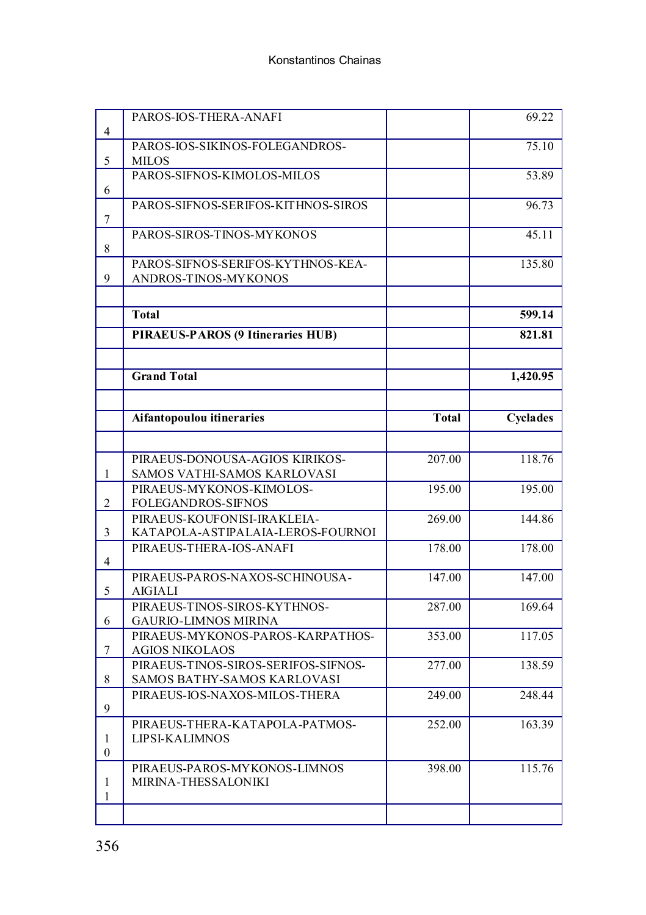|                | PAROS-IOS-THERA-ANAFI               |              | 69.22    |
|----------------|-------------------------------------|--------------|----------|
| 4              |                                     |              |          |
|                | PAROS-IOS-SIKINOS-FOLEGANDROS-      |              | 75.10    |
| 5              | <b>MILOS</b>                        |              |          |
|                | PAROS-SIFNOS-KIMOLOS-MILOS          |              | 53.89    |
| 6              |                                     |              |          |
|                | PAROS-SIFNOS-SERIFOS-KITHNOS-SIROS  |              | 96.73    |
| 7              |                                     |              |          |
|                | PAROS-SIROS-TINOS-MYKONOS           |              | 45.11    |
| 8              |                                     |              |          |
| 9              | PAROS-SIFNOS-SERIFOS-KYTHNOS-KEA-   |              | 135.80   |
|                | ANDROS-TINOS-MYKONOS                |              |          |
|                |                                     |              |          |
|                | <b>Total</b>                        |              | 599.14   |
|                | PIRAEUS-PAROS (9 Itineraries HUB)   |              | 821.81   |
|                |                                     |              |          |
|                | <b>Grand Total</b>                  |              | 1,420.95 |
|                |                                     |              |          |
|                | Aifantopoulou itineraries           | <b>Total</b> | Cyclades |
|                |                                     |              |          |
|                |                                     |              |          |
|                | PIRAEUS-DONOUSA-AGIOS KIRIKOS-      | 207.00       | 118.76   |
| 1              | SAMOS VATHI-SAMOS KARLOVASI         |              |          |
|                | PIRAEUS-MYKONOS-KIMOLOS-            | 195.00       | 195.00   |
| $\overline{2}$ | FOLEGANDROS-SIFNOS                  |              |          |
|                | PIRAEUS-KOUFONISI-IRAKLEIA-         | 269.00       | 144.86   |
| 3              | KATAPOLA-ASTIPALAIA-LEROS-FOURNOI   |              |          |
|                | PIRAEUS-THERA-IOS-ANAFI             | 178.00       | 178.00   |
| $\overline{4}$ |                                     |              |          |
|                | PIRAEUS-PAROS-NAXOS-SCHINOUSA-      | 147.00       | 147.00   |
| 5              | <b>AIGIALI</b>                      |              |          |
|                | PIRAEUS-TINOS-SIROS-KYTHNOS-        | 287.00       | 169.64   |
| 6              | <b>GAURIO-LIMNOS MIRINA</b>         |              |          |
|                | PIRAEUS-MYKONOS-PAROS-KARPATHOS-    | 353.00       | 117.05   |
| 7              | <b>AGIOS NIKOLAOS</b>               |              |          |
|                | PIRAEUS-TINOS-SIROS-SERIFOS-SIFNOS- | 277.00       | 138.59   |
| 8              | SAMOS BATHY-SAMOS KARLOVASI         |              |          |
| 9              | PIRAEUS-IOS-NAXOS-MILOS-THERA       | 249.00       | 248.44   |
|                | PIRAEUS-THERA-KATAPOLA-PATMOS-      | 252.00       | 163.39   |
| $\mathbf{1}$   | <b>LIPSI-KALIMNOS</b>               |              |          |
| $\mathbf{0}$   |                                     |              |          |
|                | PIRAEUS-PAROS-MYKONOS-LIMNOS        | 398.00       | 115.76   |
| 1              | MIRINA-THESSALONIKI                 |              |          |
| 1              |                                     |              |          |
|                |                                     |              |          |
|                |                                     |              |          |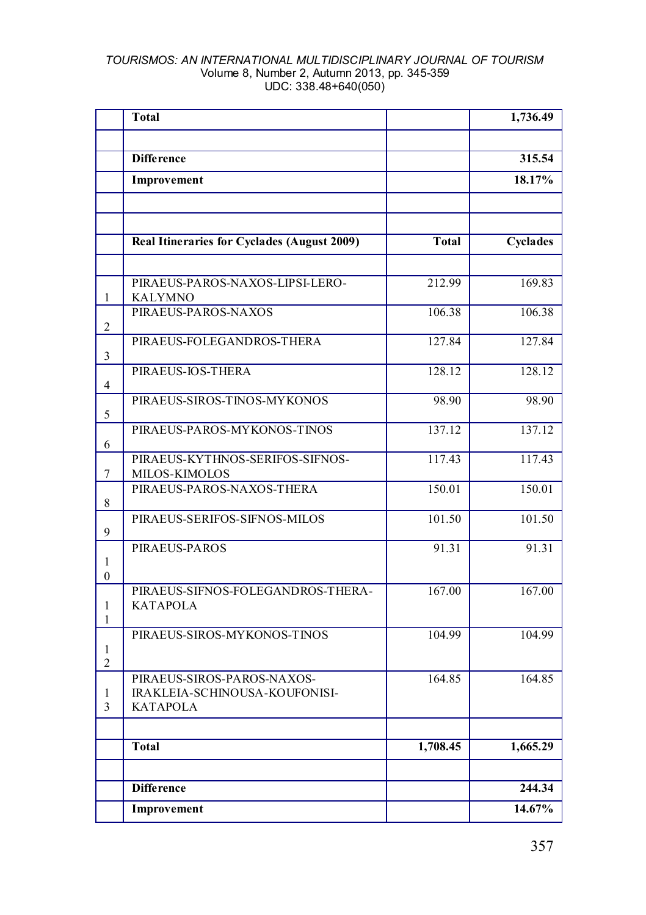|                   | Total                                            |              | 1,736.49 |
|-------------------|--------------------------------------------------|--------------|----------|
|                   |                                                  |              |          |
|                   | <b>Difference</b>                                |              | 315.54   |
|                   | Improvement                                      |              | 18.17%   |
|                   |                                                  |              |          |
|                   |                                                  |              |          |
|                   | Real Itineraries for Cyclades (August 2009)      | <b>Total</b> | Cyclades |
|                   |                                                  |              |          |
|                   | PIRAEUS-PAROS-NAXOS-LIPSI-LERO-                  | 212.99       | 169.83   |
| 1                 | <b>KALYMNO</b>                                   |              |          |
|                   | PIRAEUS-PAROS-NAXOS                              | 106.38       | 106.38   |
| 2                 |                                                  |              |          |
| 3                 | PIRAEUS-FOLEGANDROS-THERA                        | 127.84       | 127.84   |
|                   | PIRAEUS-IOS-THERA                                | 128.12       | 128.12   |
| 4                 |                                                  |              |          |
|                   | PIRAEUS-SIROS-TINOS-MYKONOS                      | 98.90        | 98.90    |
| 5                 |                                                  |              |          |
| 6                 | PIRAEUS-PAROS-MYKONOS-TINOS                      | 137.12       | 137.12   |
|                   | PIRAEUS-KYTHNOS-SERIFOS-SIFNOS-                  | 117.43       | 117.43   |
| 7                 | <b>MILOS-KIMOLOS</b>                             |              |          |
|                   | PIRAEUS-PAROS-NAXOS-THERA                        | 150.01       | 150.01   |
| 8                 |                                                  |              |          |
| 9                 | PIRAEUS-SERIFOS-SIFNOS-MILOS                     | 101.50       | 101.50   |
|                   | PIRAEUS-PAROS                                    | 91.31        | 91.31    |
| 1                 |                                                  |              |          |
| $\mathbf{0}$      |                                                  |              |          |
|                   | PIRAEUS-SIFNOS-FOLEGANDROS-THERA-                | 167.00       | 167.00   |
| 1<br>$\mathbf{1}$ | <b>KATAPOLA</b>                                  |              |          |
|                   | PIRAEUS-SIROS-MYKONOS-TINOS                      | 104.99       | 104.99   |
| 1                 |                                                  |              |          |
| $\overline{c}$    |                                                  |              |          |
|                   | PIRAEUS-SIROS-PAROS-NAXOS-                       | 164.85       | 164.85   |
| 1<br>3            | IRAKLEIA-SCHINOUSA-KOUFONISI-<br><b>KATAPOLA</b> |              |          |
|                   |                                                  |              |          |
|                   | <b>Total</b>                                     | 1,708.45     | 1,665.29 |
|                   |                                                  |              |          |
|                   |                                                  |              |          |
|                   | <b>Difference</b>                                |              | 244.34   |
|                   | Improvement                                      |              | 14.67%   |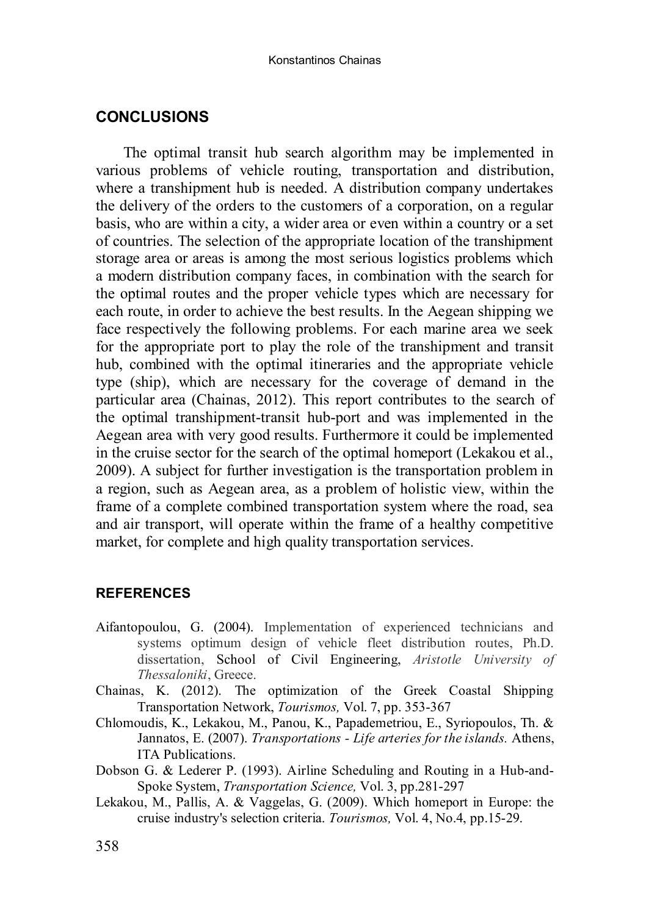### **CONCLUSIONS**

The optimal transit hub search algorithm may be implemented in various problems of vehicle routing, transportation and distribution, where a transhipment hub is needed. A distribution company undertakes the delivery of the orders to the customers of a corporation, on a regular basis, who are within a city, a wider area or even within a country or a set of countries. The selection of the appropriate location of the transhipment storage area or areas is among the most serious logistics problems which a modern distribution company faces, in combination with the search for the optimal routes and the proper vehicle types which are necessary for each route, in order to achieve the best results. In the Aegean shipping we face respectively the following problems. For each marine area we seek for the appropriate port to play the role of the transhipment and transit hub, combined with the optimal itineraries and the appropriate vehicle type (ship), which are necessary for the coverage of demand in the particular area (Chainas, 2012). This report contributes to the search of the optimal transhipment-transit hub-port and was implemented in the Aegean area with very good results. Furthermore it could be implemented in the cruise sector for the search of the optimal homeport (Lekakou et al., 2009). A subject for further investigation is the transportation problem in a region, such as Aegean area, as a problem of holistic view, within the frame of a complete combined transportation system where the road, sea and air transport, will operate within the frame of a healthy competitive market, for complete and high quality transportation services.

### **REFERENCES**

- Aifantopoulou, G. (2004). Implementation of experienced technicians and systems optimum design of vehicle fleet distribution routes, Ph.D. dissertation, School of Civil Engineering, *Aristotle University of Thessaloniki*, Greece.
- Chainas, K. (2012). The optimization of the Greek Coastal Shipping Transportation Network, *Tourismos,* Vol. 7, pp. 353-367
- Chlomoudis, K., Lekakou, M., Panou, K., Papademetriou, E., Syriopoulos, Th. & Jannatos, E. (2007). *Transportations - Life arteries for the islands.* Athens, ITA Publications.
- Dobson G. & Lederer P. (1993). Airline Scheduling and Routing in a Hub-and-Spoke System, *Transportation Science,* Vol. 3, pp.281-297
- Lekakou, M., Pallis, A. & Vaggelas, G. (2009). Which homeport in Europe: the cruise industry's selection criteria. *Tourismos,* Vol. 4, No.4, pp.15-29.